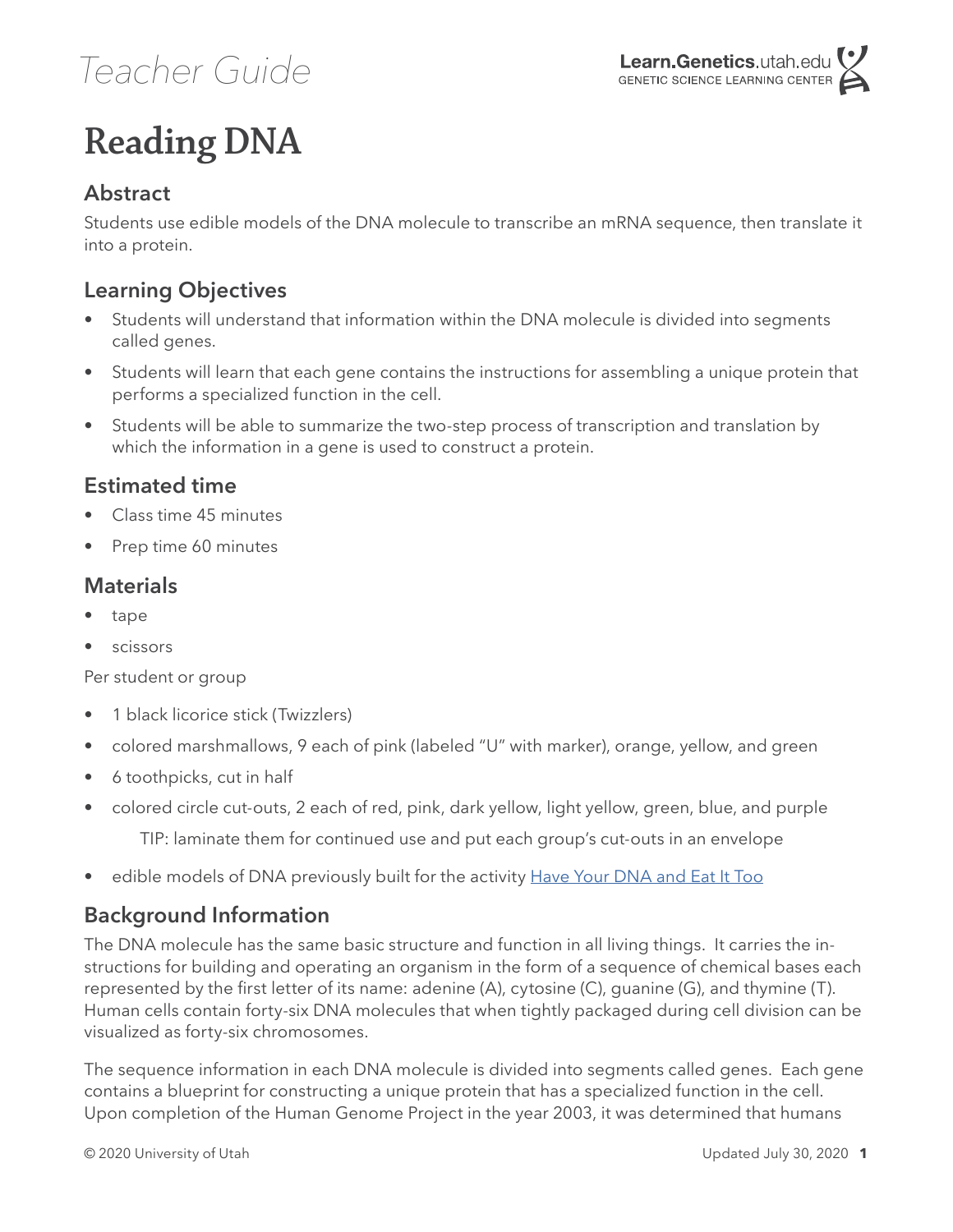### *Teacher Guide*

## **Reading DNA**

#### **Abstract**

Students use edible models of the DNA molecule to transcribe an mRNA sequence, then translate it into a protein.

### **Learning Objectives**

- Students will understand that information within the DNA molecule is divided into segments called genes.
- Students will learn that each gene contains the instructions for assembling a unique protein that performs a specialized function in the cell.
- Students will be able to summarize the two-step process of transcription and translation by which the information in a gene is used to construct a protein.

#### **Estimated time**

- Class time 45 minutes
- Prep time 60 minutes

#### **Materials**

- tape
- **scissors**

Per student or group

- 1 black licorice stick (Twizzlers)
- colored marshmallows, 9 each of pink (labeled "U" with marker), orange, yellow, and green
- 6 toothpicks, cut in half
- colored circle cut-outs, 2 each of red, pink, dark yellow, light yellow, green, blue, and purple TIP: laminate them for continued use and put each group's cut-outs in an envelope
- edible models of DNA previously built for the activity [Have Your DNA and Eat It Too](https://teach.genetics.utah.edu/content/dna/HaveYourDNAandEatItToo.pdf)

#### **Background Information**

The DNA molecule has the same basic structure and function in all living things. It carries the instructions for building and operating an organism in the form of a sequence of chemical bases each represented by the first letter of its name: adenine (A), cytosine (C), guanine (G), and thymine (T). Human cells contain forty-six DNA molecules that when tightly packaged during cell division can be visualized as forty-six chromosomes.

The sequence information in each DNA molecule is divided into segments called genes. Each gene contains a blueprint for constructing a unique protein that has a specialized function in the cell. Upon completion of the Human Genome Project in the year 2003, it was determined that humans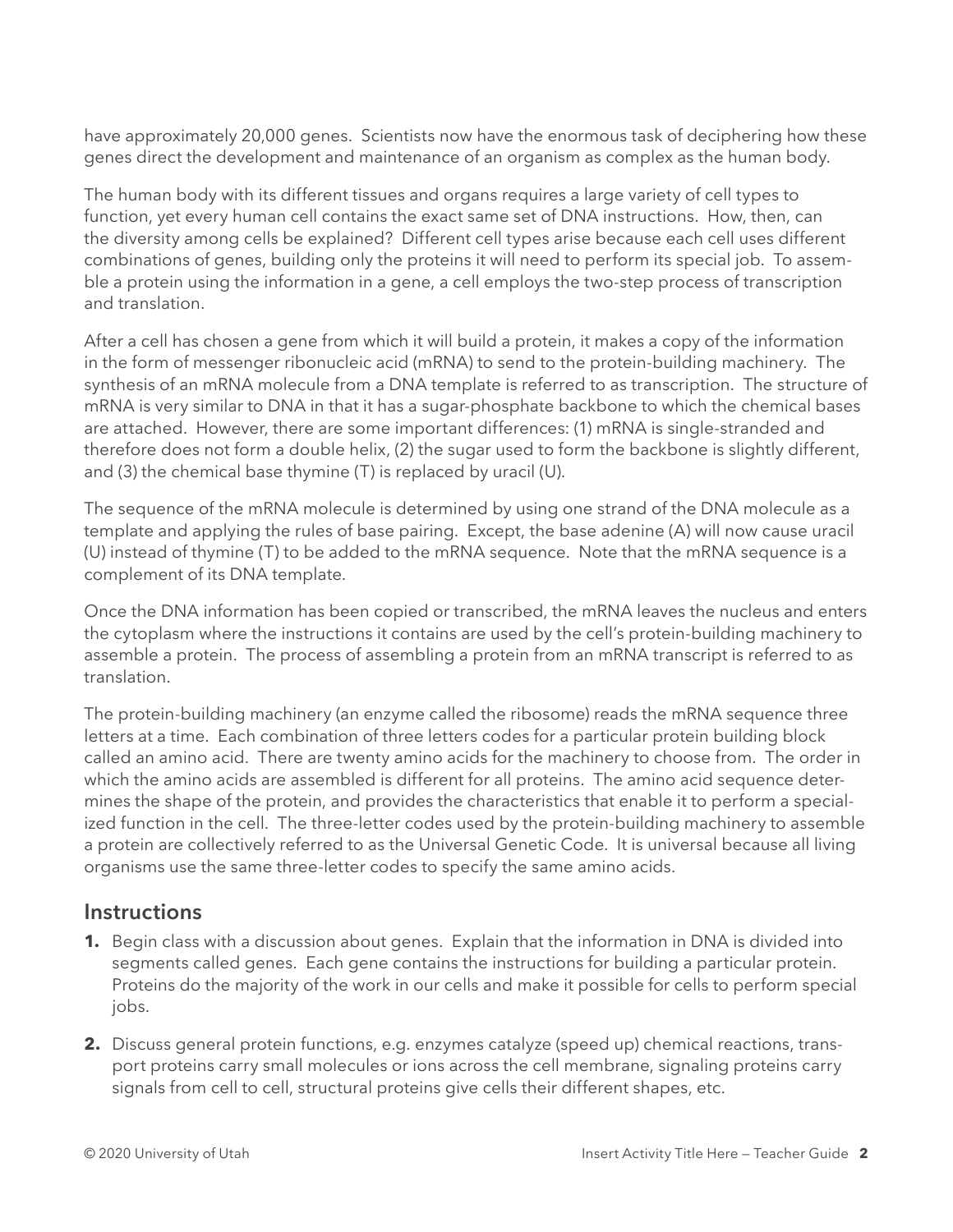have approximately 20,000 genes. Scientists now have the enormous task of deciphering how these genes direct the development and maintenance of an organism as complex as the human body.

The human body with its different tissues and organs requires a large variety of cell types to function, yet every human cell contains the exact same set of DNA instructions. How, then, can the diversity among cells be explained? Different cell types arise because each cell uses different combinations of genes, building only the proteins it will need to perform its special job. To assemble a protein using the information in a gene, a cell employs the two-step process of transcription and translation.

After a cell has chosen a gene from which it will build a protein, it makes a copy of the information in the form of messenger ribonucleic acid (mRNA) to send to the protein-building machinery. The synthesis of an mRNA molecule from a DNA template is referred to as transcription. The structure of mRNA is very similar to DNA in that it has a sugar-phosphate backbone to which the chemical bases are attached. However, there are some important differences: (1) mRNA is single-stranded and therefore does not form a double helix, (2) the sugar used to form the backbone is slightly different, and (3) the chemical base thymine (T) is replaced by uracil (U).

The sequence of the mRNA molecule is determined by using one strand of the DNA molecule as a template and applying the rules of base pairing. Except, the base adenine (A) will now cause uracil (U) instead of thymine (T) to be added to the mRNA sequence. Note that the mRNA sequence is a complement of its DNA template.

Once the DNA information has been copied or transcribed, the mRNA leaves the nucleus and enters the cytoplasm where the instructions it contains are used by the cell's protein-building machinery to assemble a protein. The process of assembling a protein from an mRNA transcript is referred to as translation.

The protein-building machinery (an enzyme called the ribosome) reads the mRNA sequence three letters at a time. Each combination of three letters codes for a particular protein building block called an amino acid. There are twenty amino acids for the machinery to choose from. The order in which the amino acids are assembled is different for all proteins. The amino acid sequence determines the shape of the protein, and provides the characteristics that enable it to perform a specialized function in the cell. The three-letter codes used by the protein-building machinery to assemble a protein are collectively referred to as the Universal Genetic Code. It is universal because all living organisms use the same three-letter codes to specify the same amino acids.

#### **Instructions**

- **1.** Begin class with a discussion about genes. Explain that the information in DNA is divided into segments called genes. Each gene contains the instructions for building a particular protein. Proteins do the majority of the work in our cells and make it possible for cells to perform special jobs.
- **2.** Discuss general protein functions, e.g. enzymes catalyze (speed up) chemical reactions, transport proteins carry small molecules or ions across the cell membrane, signaling proteins carry signals from cell to cell, structural proteins give cells their different shapes, etc.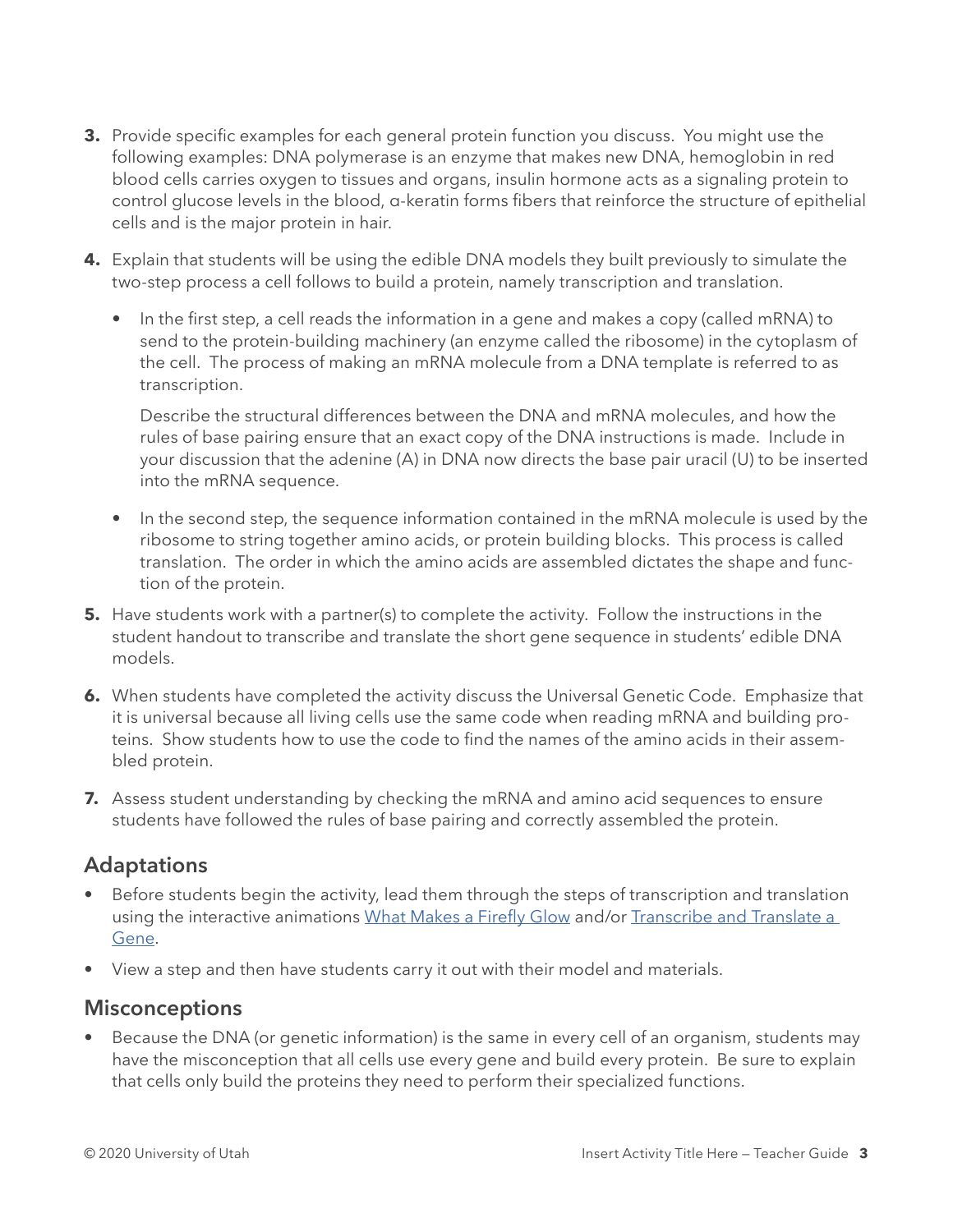- **3.** Provide specific examples for each general protein function you discuss. You might use the following examples: DNA polymerase is an enzyme that makes new DNA, hemoglobin in red blood cells carries oxygen to tissues and organs, insulin hormone acts as a signaling protein to control glucose levels in the blood, α-keratin forms fibers that reinforce the structure of epithelial cells and is the major protein in hair.
- **4.** Explain that students will be using the edible DNA models they built previously to simulate the two-step process a cell follows to build a protein, namely transcription and translation.
	- In the first step, a cell reads the information in a gene and makes a copy (called mRNA) to send to the protein-building machinery (an enzyme called the ribosome) in the cytoplasm of the cell. The process of making an mRNA molecule from a DNA template is referred to as transcription.

Describe the structural differences between the DNA and mRNA molecules, and how the rules of base pairing ensure that an exact copy of the DNA instructions is made. Include in your discussion that the adenine (A) in DNA now directs the base pair uracil (U) to be inserted into the mRNA sequence.

- In the second step, the sequence information contained in the mRNA molecule is used by the ribosome to string together amino acids, or protein building blocks. This process is called translation. The order in which the amino acids are assembled dictates the shape and function of the protein.
- **5.** Have students work with a partner(s) to complete the activity. Follow the instructions in the student handout to transcribe and translate the short gene sequence in students' edible DNA models.
- **6.** When students have completed the activity discuss the Universal Genetic Code. Emphasize that it is universal because all living cells use the same code when reading mRNA and building proteins. Show students how to use the code to find the names of the amino acids in their assembled protein.
- **7.** Assess student understanding by checking the mRNA and amino acid sequences to ensure students have followed the rules of base pairing and correctly assembled the protein.

#### **Adaptations**

- Before students begin the activity, lead them through the steps of transcription and translation using the interactive animations [What Makes a Firefly Glow](https://learn.genetics.utah.edu/content/basics/firefly/) and/or [Transcribe and Translate a](https://learn.genetics.utah.edu/content/basics/transcribe/)  [Gene](https://learn.genetics.utah.edu/content/basics/transcribe/).
- View a step and then have students carry it out with their model and materials.

#### **Misconceptions**

• Because the DNA (or genetic information) is the same in every cell of an organism, students may have the misconception that all cells use every gene and build every protein. Be sure to explain that cells only build the proteins they need to perform their specialized functions.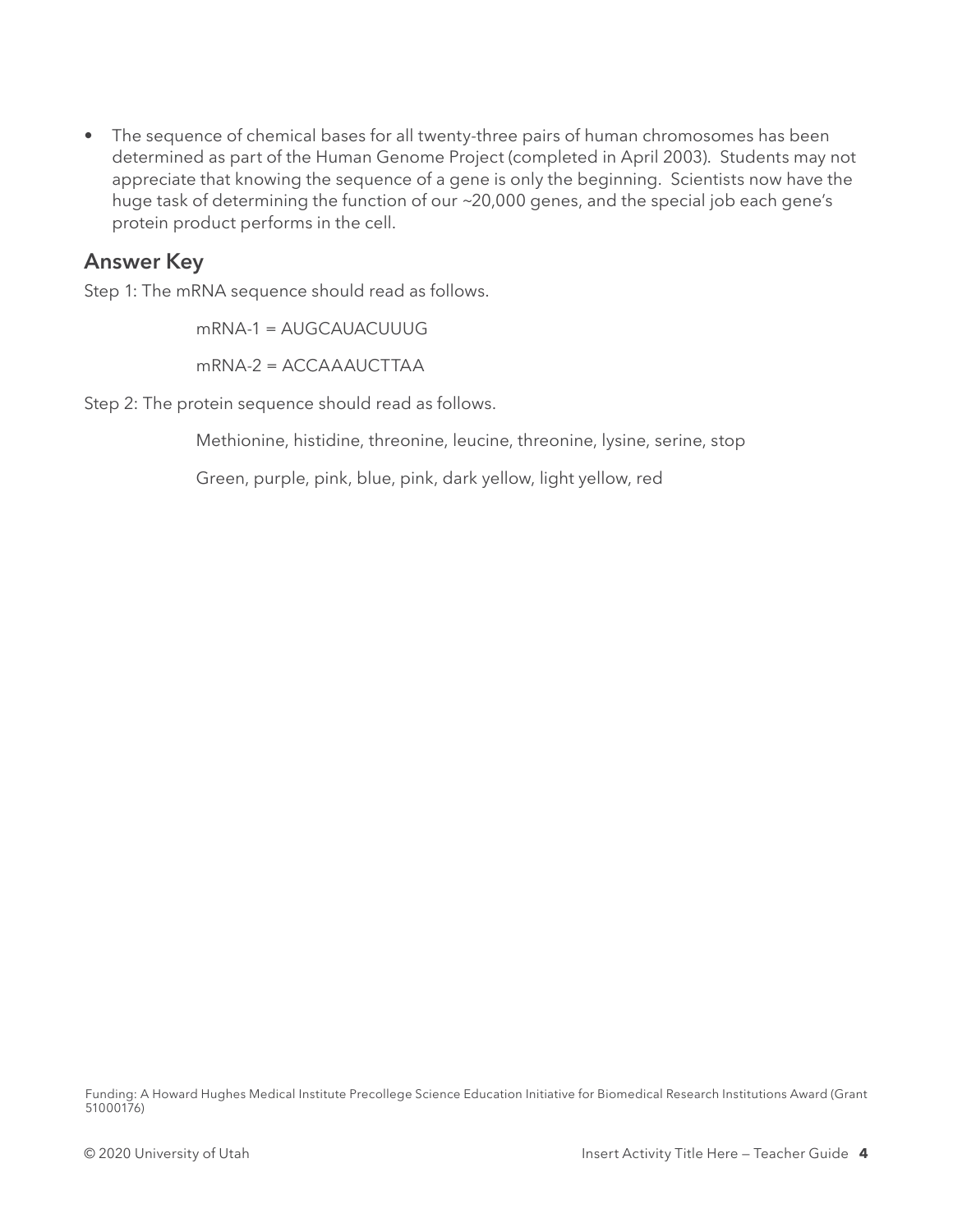• The sequence of chemical bases for all twenty-three pairs of human chromosomes has been determined as part of the Human Genome Project (completed in April 2003). Students may not appreciate that knowing the sequence of a gene is only the beginning. Scientists now have the huge task of determining the function of our ~20,000 genes, and the special job each gene's protein product performs in the cell.

#### **Answer Key**

Step 1: The mRNA sequence should read as follows.

mRNA-1 = AUGCAUACUUUG mRNA-2 = ACCAAAUCTTAA

Step 2: The protein sequence should read as follows.

Methionine, histidine, threonine, leucine, threonine, lysine, serine, stop

Green, purple, pink, blue, pink, dark yellow, light yellow, red

Funding: A Howard Hughes Medical Institute Precollege Science Education Initiative for Biomedical Research Institutions Award (Grant 51000176)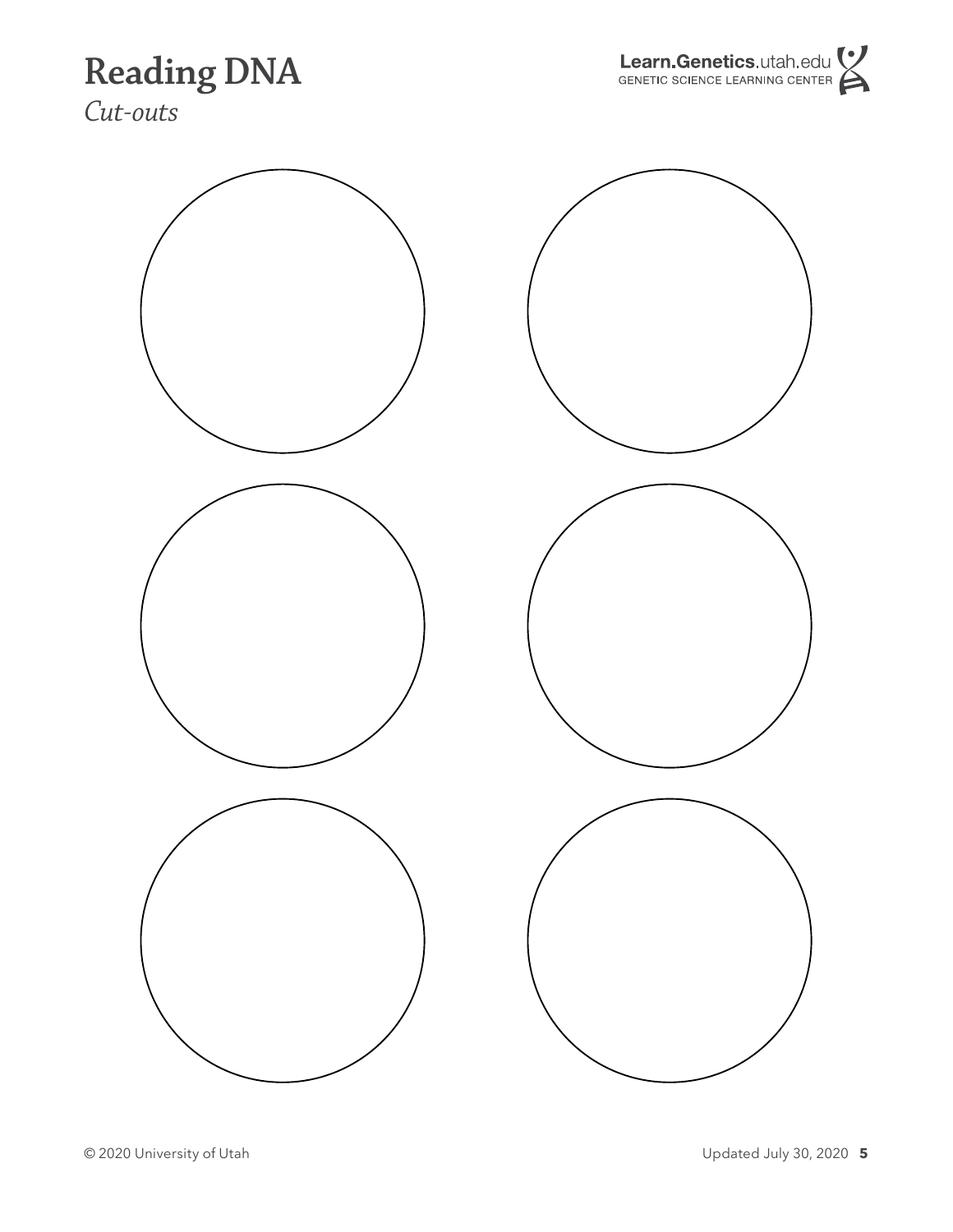### **Reading DNA**

Learn.Genetics.utah.edu

*Cut-outs*

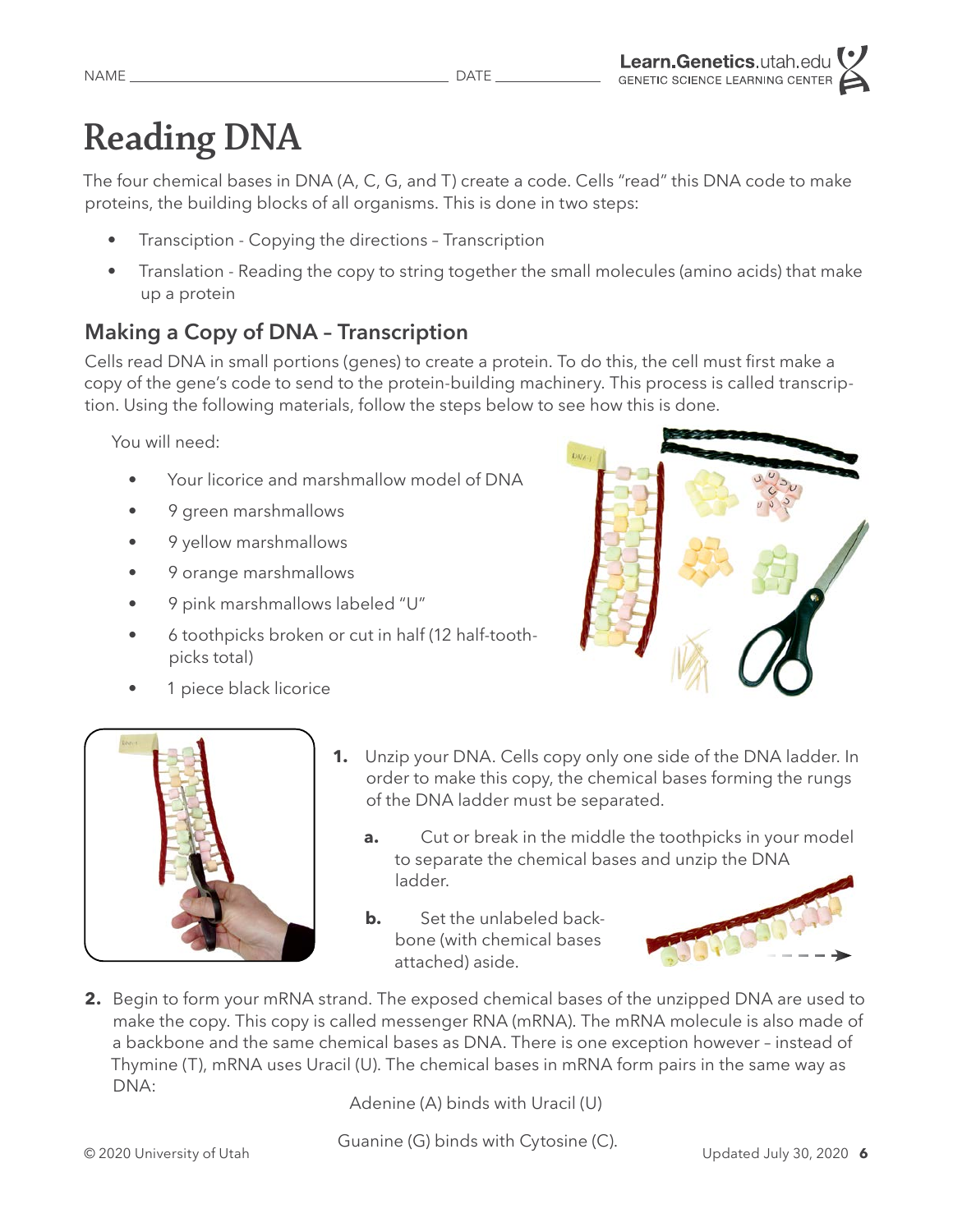# **Reading DNA**

The four chemical bases in DNA (A, C, G, and T) create a code. Cells "read" this DNA code to make proteins, the building blocks of all organisms. This is done in two steps:

- Transciption Copying the directions Transcription
- Translation Reading the copy to string together the small molecules (amino acids) that make up a protein

### **Making a Copy of DNA – Transcription**

Cells read DNA in small portions (genes) to create a protein. To do this, the cell must first make a copy of the gene's code to send to the protein-building machinery. This process is called transcription. Using the following materials, follow the steps below to see how this is done.

You will need:

- Your licorice and marshmallow model of DNA
- 9 green marshmallows
- 9 yellow marshmallows
- 9 orange marshmallows
- 9 pink marshmallows labeled "U"
- 6 toothpicks broken or cut in half (12 half-toothpicks total)
- 1 piece black licorice





- **1.** Unzip your DNA. Cells copy only one side of the DNA ladder. In order to make this copy, the chemical bases forming the rungs of the DNA ladder must be separated.
	- **a.** Cut or break in the middle the toothpicks in your model to separate the chemical bases and unzip the DNA ladder.
	- **b.** Set the unlabeled backbone (with chemical bases attached) aside.



**2.** Begin to form your mRNA strand. The exposed chemical bases of the unzipped DNA are used to make the copy. This copy is called messenger RNA (mRNA). The mRNA molecule is also made of a backbone and the same chemical bases as DNA. There is one exception however – instead of Thymine (T), mRNA uses Uracil (U). The chemical bases in mRNA form pairs in the same way as DNA:

Adenine (A) binds with Uracil (U)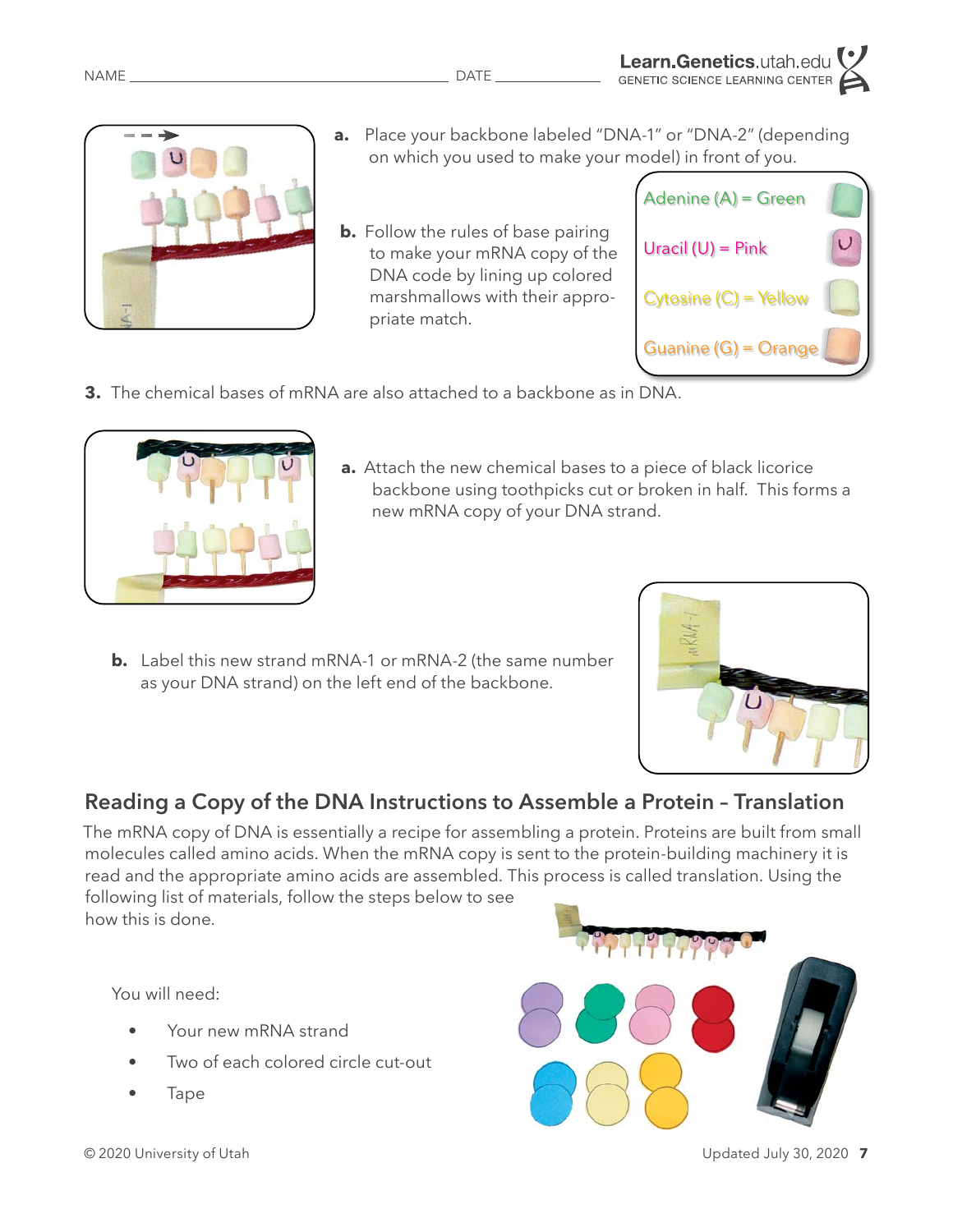new mRNA copy of your DNA strand.

**a.** Place your backbone labeled "DNA-1" or "DNA-2" (depending on which you used to make your model) in front of you.

**a.** Attach the new chemical bases to a piece of black licorice

backbone using toothpicks cut or broken in half. This forms a

**b.** Follow the rules of base pairing to make your mRNA copy of the DNA code by lining up colored marshmallows with their appropriate match.



**3.** The chemical bases of mRNA are also attached to a backbone as in DNA.

**b.** Label this new strand mRNA-1 or mRNA-2 (the same number as your DNA strand) on the left end of the backbone.



#### **Reading a Copy of the DNA Instructions to Assemble a Protein – Translation**

The mRNA copy of DNA is essentially a recipe for assembling a protein. Proteins are built from small molecules called amino acids. When the mRNA copy is sent to the protein-building machinery it is read and the appropriate amino acids are assembled. This process is called translation. Using the following list of materials, follow the steps below to see

how this is done.

You will need:

- Your new mRNA strand
- Two of each colored circle cut-out
- Tape







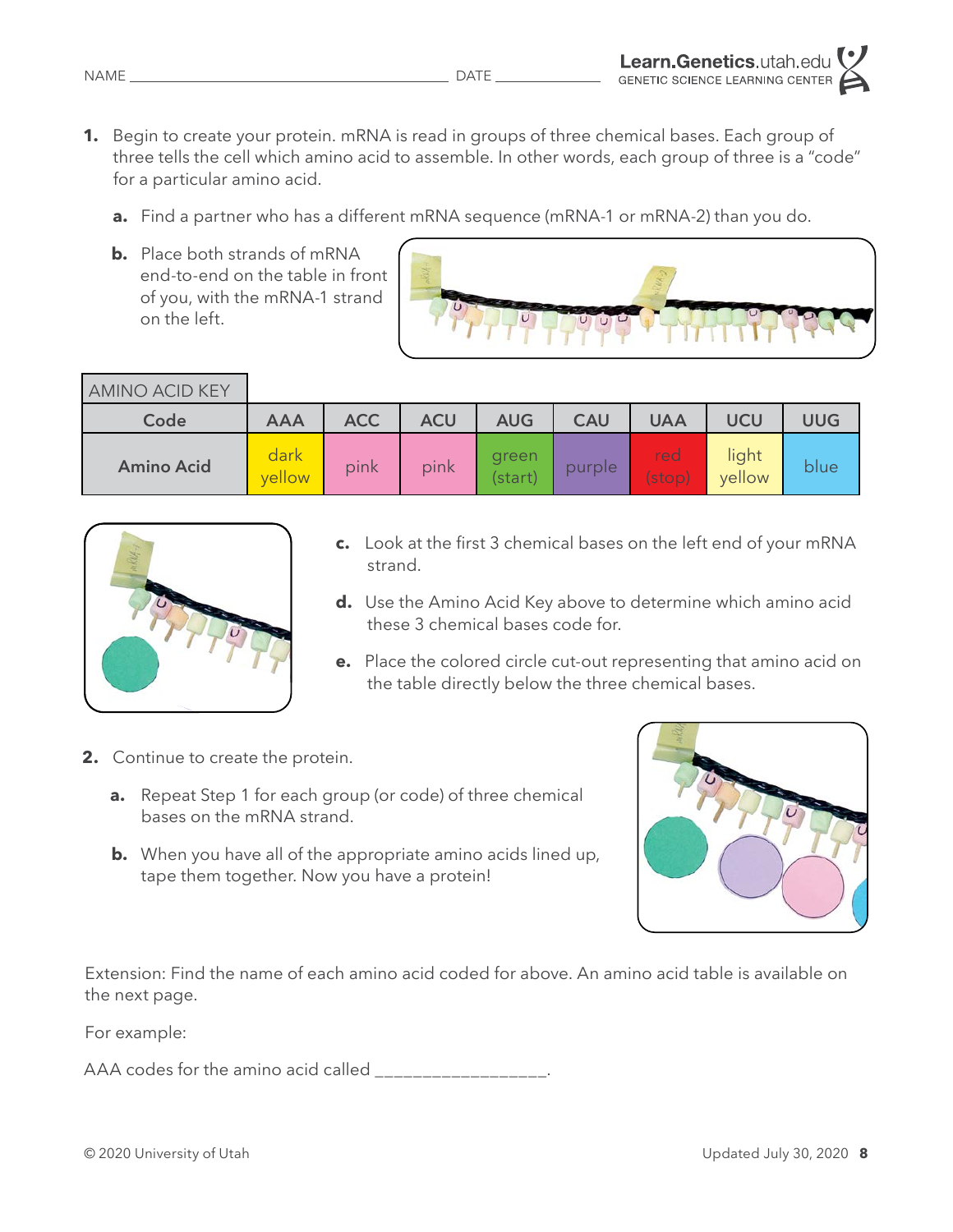- **1.** Begin to create your protein. mRNA is read in groups of three chemical bases. Each group of three tells the cell which amino acid to assemble. In other words, each group of three is a "code" for a particular amino acid.
	- **a.** Find a partner who has a different mRNA sequence (mRNA-1 or mRNA-2) than you do.
	- **b.** Place both strands of mRNA end-to-end on the table in front of you, with the mRNA-1 strand on the left.



| AMINO ACID KEY    |                |            |            |                  |            |                          |                 |            |  |
|-------------------|----------------|------------|------------|------------------|------------|--------------------------|-----------------|------------|--|
| Code              | <b>AAA</b>     | <b>ACC</b> | <b>ACU</b> | <b>AUG</b>       | <b>CAU</b> | <b>UAA</b>               | UCU             | <b>UUG</b> |  |
| <b>Amino Acid</b> | dark<br>vellow | pink       | pink       | green<br>(start) | purple     | red<br>$(\mathsf{stop})$ | light<br>yellow | blue       |  |



- **c.** Look at the first 3 chemical bases on the left end of your mRNA strand.
- **d.** Use the Amino Acid Key above to determine which amino acid these 3 chemical bases code for.
- **e.** Place the colored circle cut-out representing that amino acid on the table directly below the three chemical bases.
- **2.** Continue to create the protein.
	- **a.** Repeat Step 1 for each group (or code) of three chemical bases on the mRNA strand.
	- **b.** When you have all of the appropriate amino acids lined up, tape them together. Now you have a protein!



Extension: Find the name of each amino acid coded for above. An amino acid table is available on the next page.

For example:

AAA codes for the amino acid called \_\_\_\_\_\_\_\_\_\_\_\_\_\_\_\_\_\_.